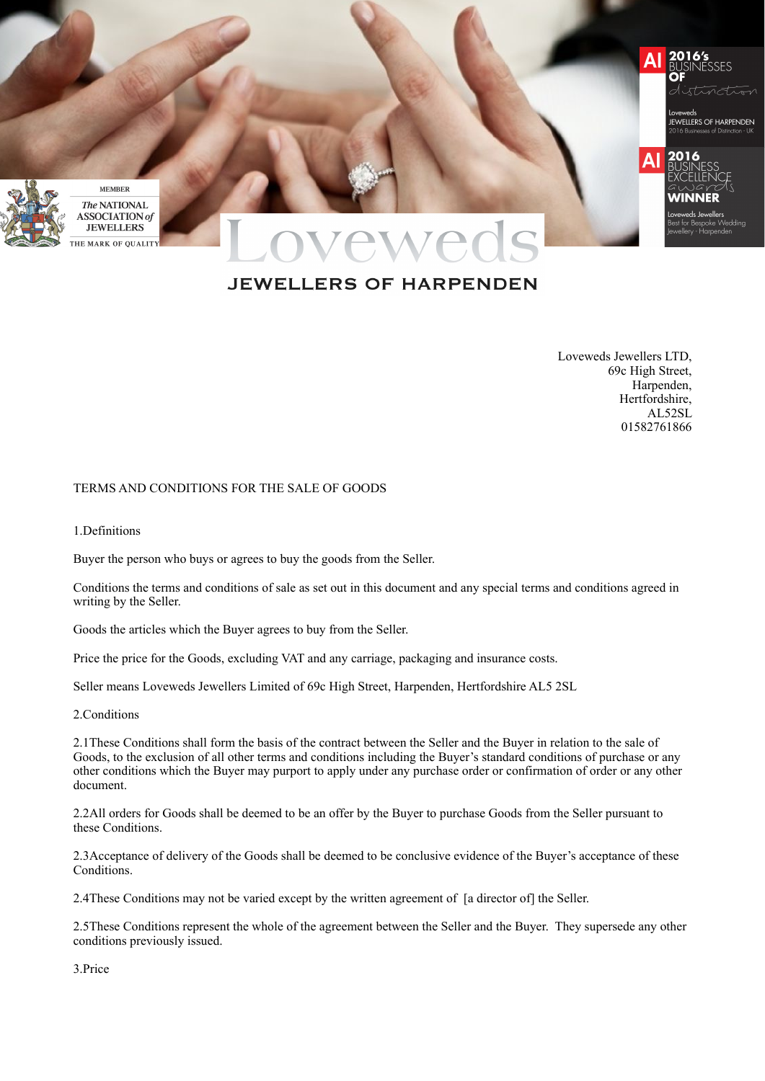

# **JEWELLERS OF HARPENDEN**

Loveweds Jewellers LTD, 69c High Street, Harpenden, Hertfordshire, AL52SL 01582761866

### TERMS AND CONDITIONS FOR THE SALE OF GOODS

1.Definitions

Buyer the person who buys or agrees to buy the goods from the Seller.

Conditions the terms and conditions of sale as set out in this document and any special terms and conditions agreed in writing by the Seller.

Goods the articles which the Buyer agrees to buy from the Seller.

Price the price for the Goods, excluding VAT and any carriage, packaging and insurance costs.

Seller means Loveweds Jewellers Limited of 69c High Street, Harpenden, Hertfordshire AL5 2SL

# 2.Conditions

2.1These Conditions shall form the basis of the contract between the Seller and the Buyer in relation to the sale of Goods, to the exclusion of all other terms and conditions including the Buyer's standard conditions of purchase or any other conditions which the Buyer may purport to apply under any purchase order or confirmation of order or any other document.

2.2All orders for Goods shall be deemed to be an offer by the Buyer to purchase Goods from the Seller pursuant to these Conditions.

2.3Acceptance of delivery of the Goods shall be deemed to be conclusive evidence of the Buyer's acceptance of these Conditions.

2.4These Conditions may not be varied except by the written agreement of [a director of] the Seller.

2.5These Conditions represent the whole of the agreement between the Seller and the Buyer. They supersede any other conditions previously issued.

3.Price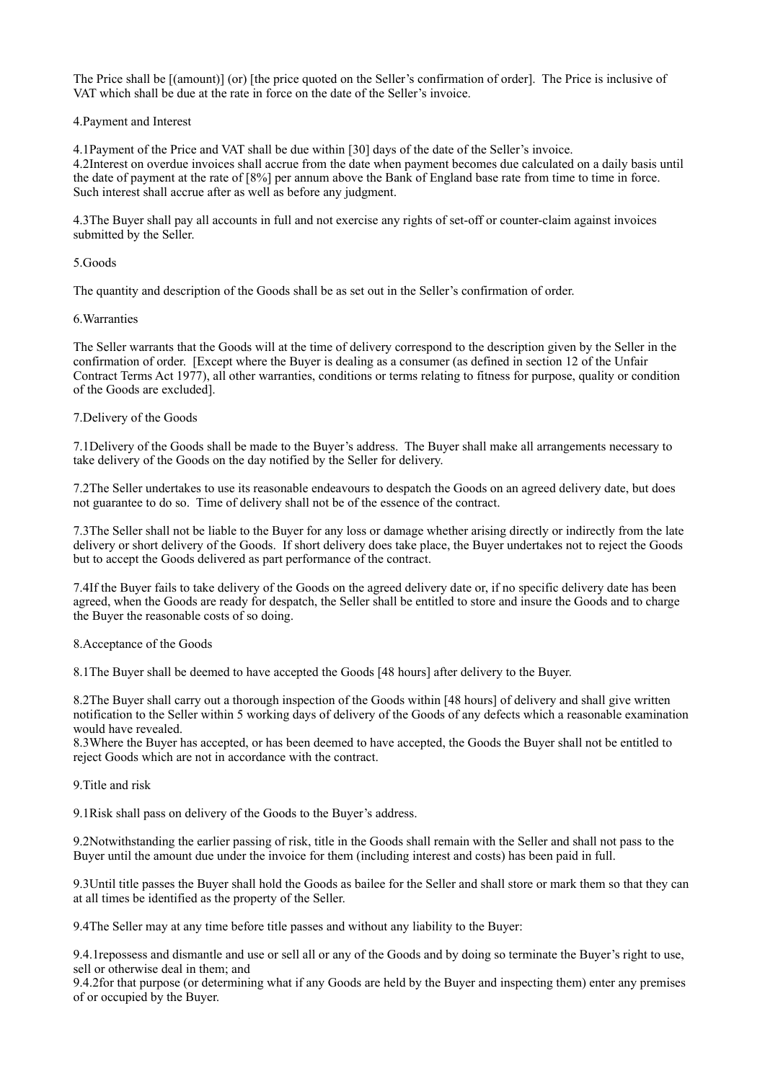The Price shall be [(amount)] (or) [the price quoted on the Seller's confirmation of order]. The Price is inclusive of VAT which shall be due at the rate in force on the date of the Seller's invoice.

4.Payment and Interest

4.1Payment of the Price and VAT shall be due within [30] days of the date of the Seller's invoice. 4.2Interest on overdue invoices shall accrue from the date when payment becomes due calculated on a daily basis until the date of payment at the rate of [8%] per annum above the Bank of England base rate from time to time in force. Such interest shall accrue after as well as before any judgment.

4.3The Buyer shall pay all accounts in full and not exercise any rights of set-off or counter-claim against invoices submitted by the Seller.

# 5.Goods

The quantity and description of the Goods shall be as set out in the Seller's confirmation of order.

# 6.Warranties

The Seller warrants that the Goods will at the time of delivery correspond to the description given by the Seller in the confirmation of order. [Except where the Buyer is dealing as a consumer (as defined in section 12 of the Unfair Contract Terms Act 1977), all other warranties, conditions or terms relating to fitness for purpose, quality or condition of the Goods are excluded].

# 7.Delivery of the Goods

7.1Delivery of the Goods shall be made to the Buyer's address. The Buyer shall make all arrangements necessary to take delivery of the Goods on the day notified by the Seller for delivery.

7.2The Seller undertakes to use its reasonable endeavours to despatch the Goods on an agreed delivery date, but does not guarantee to do so. Time of delivery shall not be of the essence of the contract.

7.3The Seller shall not be liable to the Buyer for any loss or damage whether arising directly or indirectly from the late delivery or short delivery of the Goods. If short delivery does take place, the Buyer undertakes not to reject the Goods but to accept the Goods delivered as part performance of the contract.

7.4If the Buyer fails to take delivery of the Goods on the agreed delivery date or, if no specific delivery date has been agreed, when the Goods are ready for despatch, the Seller shall be entitled to store and insure the Goods and to charge the Buyer the reasonable costs of so doing.

#### 8.Acceptance of the Goods

8.1The Buyer shall be deemed to have accepted the Goods [48 hours] after delivery to the Buyer.

8.2The Buyer shall carry out a thorough inspection of the Goods within [48 hours] of delivery and shall give written notification to the Seller within 5 working days of delivery of the Goods of any defects which a reasonable examination would have revealed.

8.3Where the Buyer has accepted, or has been deemed to have accepted, the Goods the Buyer shall not be entitled to reject Goods which are not in accordance with the contract.

# 9.Title and risk

9.1Risk shall pass on delivery of the Goods to the Buyer's address.

9.2Notwithstanding the earlier passing of risk, title in the Goods shall remain with the Seller and shall not pass to the Buyer until the amount due under the invoice for them (including interest and costs) has been paid in full.

9.3Until title passes the Buyer shall hold the Goods as bailee for the Seller and shall store or mark them so that they can at all times be identified as the property of the Seller.

9.4The Seller may at any time before title passes and without any liability to the Buyer:

9.4.1repossess and dismantle and use or sell all or any of the Goods and by doing so terminate the Buyer's right to use, sell or otherwise deal in them; and

9.4.2for that purpose (or determining what if any Goods are held by the Buyer and inspecting them) enter any premises of or occupied by the Buyer.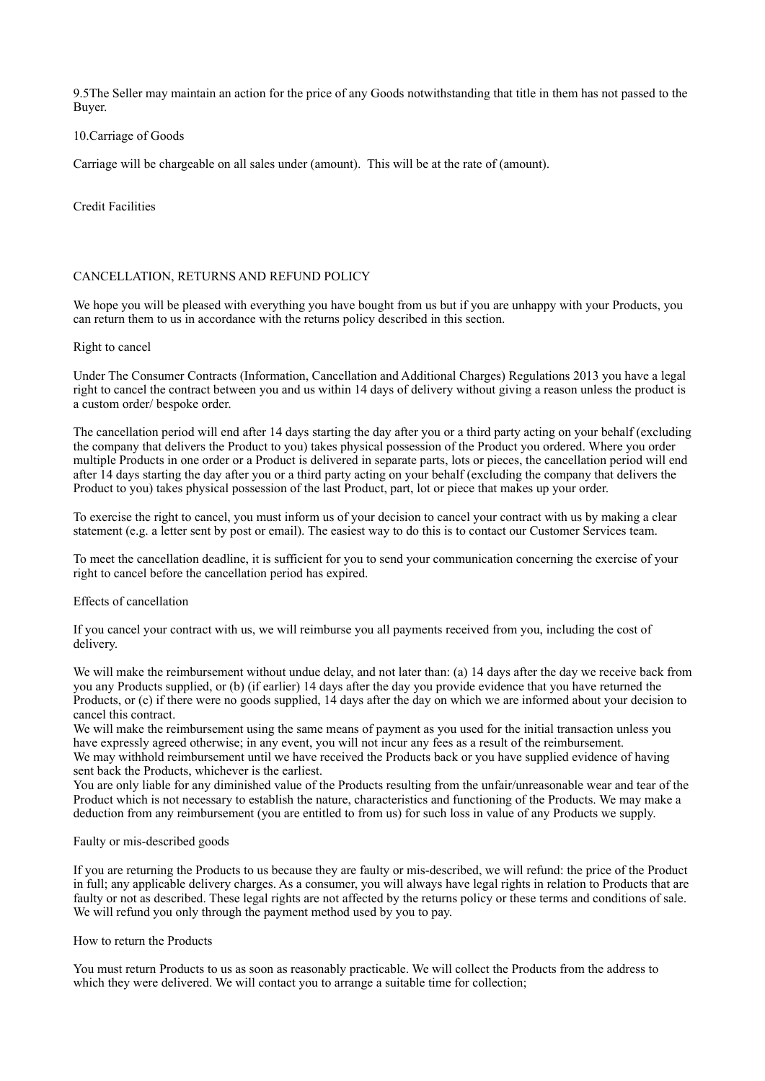9.5The Seller may maintain an action for the price of any Goods notwithstanding that title in them has not passed to the Buyer.

### 10.Carriage of Goods

Carriage will be chargeable on all sales under (amount). This will be at the rate of (amount).

# Credit Facilities

# CANCELLATION, RETURNS AND REFUND POLICY

We hope you will be pleased with everything you have bought from us but if you are unhappy with your Products, you can return them to us in accordance with the returns policy described in this section.

# Right to cancel

Under The Consumer Contracts (Information, Cancellation and Additional Charges) Regulations 2013 you have a legal right to cancel the contract between you and us within 14 days of delivery without giving a reason unless the product is a custom order/ bespoke order.

The cancellation period will end after 14 days starting the day after you or a third party acting on your behalf (excluding the company that delivers the Product to you) takes physical possession of the Product you ordered. Where you order multiple Products in one order or a Product is delivered in separate parts, lots or pieces, the cancellation period will end after 14 days starting the day after you or a third party acting on your behalf (excluding the company that delivers the Product to you) takes physical possession of the last Product, part, lot or piece that makes up your order.

To exercise the right to cancel, you must inform us of your decision to cancel your contract with us by making a clear statement (e.g. a letter sent by post or email). The easiest way to do this is to contact our Customer Services team.

To meet the cancellation deadline, it is sufficient for you to send your communication concerning the exercise of your right to cancel before the cancellation period has expired.

#### Effects of cancellation

If you cancel your contract with us, we will reimburse you all payments received from you, including the cost of delivery.

We will make the reimbursement without undue delay, and not later than: (a) 14 days after the day we receive back from you any Products supplied, or (b) (if earlier) 14 days after the day you provide evidence that you have returned the Products, or (c) if there were no goods supplied, 14 days after the day on which we are informed about your decision to cancel this contract.

We will make the reimbursement using the same means of payment as you used for the initial transaction unless you have expressly agreed otherwise; in any event, you will not incur any fees as a result of the reimbursement. We may withhold reimbursement until we have received the Products back or you have supplied evidence of having sent back the Products, whichever is the earliest.

You are only liable for any diminished value of the Products resulting from the unfair/unreasonable wear and tear of the Product which is not necessary to establish the nature, characteristics and functioning of the Products. We may make a deduction from any reimbursement (you are entitled to from us) for such loss in value of any Products we supply.

#### Faulty or mis-described goods

If you are returning the Products to us because they are faulty or mis-described, we will refund: the price of the Product in full; any applicable delivery charges. As a consumer, you will always have legal rights in relation to Products that are faulty or not as described. These legal rights are not affected by the returns policy or these terms and conditions of sale. We will refund you only through the payment method used by you to pay.

#### How to return the Products

You must return Products to us as soon as reasonably practicable. We will collect the Products from the address to which they were delivered. We will contact you to arrange a suitable time for collection;